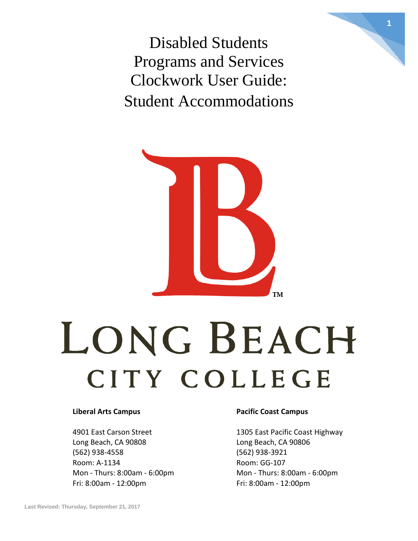Disabled Students Programs and Services Clockwork User Guide: Student Accommodations



# LONG BEACH CITY COLLEGE

4901 East Carson Street 1305 East Pacific Coast Highway Long Beach, CA 90808 Long Beach, CA 90806 (562) 938-4558 (562) 938-3921 Room: A-1134 Room: GG-107 Fri: 8:00am - 12:00pm Fri: 8:00am - 12:00pm

#### **Liberal Arts Campus Pacific Coast Campus**

Mon - Thurs: 8:00am - 6:00pm Mon - Thurs: 8:00am - 6:00pm

**1**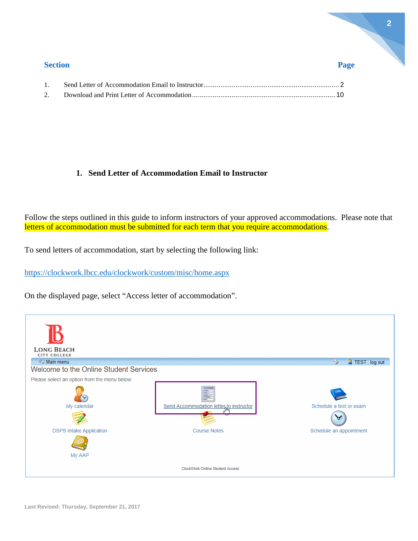| <b>Section</b> |  |  |
|----------------|--|--|
|                |  |  |
|                |  |  |

#### <span id="page-1-0"></span>**1. Send Letter of Accommodation Email to Instructor**

Follow the steps outlined in this guide to inform instructors of your approved accommodations. Please note that letters of accommodation must be submitted for each term that you require accommodations.

To send letters of accommodation, start by selecting the following link:

<https://clockwork.lbcc.edu/clockwork/custom/misc/home.aspx>

On the displayed page, select "Access letter of accommodation".

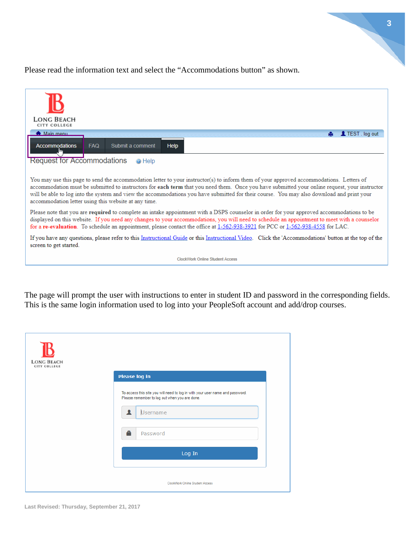**3**

Please read the information text and select the "Accommodations button" as shown.

| <b>LONG BEACH</b><br>CITY COLLEGE                                                                                                                                                                                                                                                                                                                                                                                                                                                             |
|-----------------------------------------------------------------------------------------------------------------------------------------------------------------------------------------------------------------------------------------------------------------------------------------------------------------------------------------------------------------------------------------------------------------------------------------------------------------------------------------------|
| <b>A</b> Main menu<br>LIEST. log out                                                                                                                                                                                                                                                                                                                                                                                                                                                          |
| <b>Accommodations</b><br><b>FAQ</b><br>Submit a comment<br>Help                                                                                                                                                                                                                                                                                                                                                                                                                               |
| <b>Request for Accommodations</b><br>@ Help                                                                                                                                                                                                                                                                                                                                                                                                                                                   |
|                                                                                                                                                                                                                                                                                                                                                                                                                                                                                               |
| You may use this page to send the accommodation letter to your instructor(s) to inform them of your approved accommodations. Letters of<br>accommodation must be submitted to instructors for each term that you need them. Once you have submitted your online request, your instructor<br>will be able to log into the system and view the accommodations you have submitted for their course. You may also download and print your<br>accommodation letter using this website at any time. |
| Please note that you are required to complete an intake appointment with a DSPS counselor in order for your approved accommodations to be<br>displayed on this website. If you need any changes to your accommodations, you will need to schedule an appointment to meet with a counselor<br>for a re-evaluation. To schedule an appointment, please contact the office at 1-562-938-3921 for PCC or 1-562-938-4558 for LAC.                                                                  |
| If you have any questions, please refer to this Instructional Guide or this Instructional Video. Click the 'Accommodations' button at the top of the<br>screen to get started.                                                                                                                                                                                                                                                                                                                |
| <b>ClockWork Online Student Access</b>                                                                                                                                                                                                                                                                                                                                                                                                                                                        |

The page will prompt the user with instructions to enter in student ID and password in the corresponding fields. This is the same login information used to log into your PeopleSoft account and add/drop courses.

| <b>LONG BEACH</b><br><b>CITY COLLEGE</b> |                                                                                                                                |
|------------------------------------------|--------------------------------------------------------------------------------------------------------------------------------|
|                                          | <b>Please log in</b>                                                                                                           |
|                                          | To access this site you will need to log in with your user name and password.<br>Please remember to log out when you are done. |
|                                          | 1<br><b>Username</b>                                                                                                           |
|                                          | A<br>Password                                                                                                                  |
|                                          | Log In                                                                                                                         |
|                                          | ClockWork Online Student Access                                                                                                |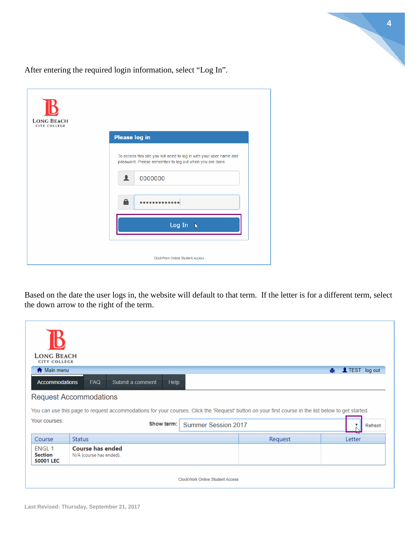

After entering the required login information, select "Log In".

| <b>LONG BEACH</b><br><b>CITY COLLEGE</b> |                                                                                                                                |
|------------------------------------------|--------------------------------------------------------------------------------------------------------------------------------|
|                                          | <b>Please log in</b>                                                                                                           |
|                                          | To access this site you will need to log in with your user name and<br>password. Please remember to log out when you are done. |
|                                          | 0000000                                                                                                                        |
|                                          | A<br>.                                                                                                                         |
|                                          | Log In<br>$\mathcal{V}$                                                                                                        |
|                                          | <b>ClockWork Online Student Access</b>                                                                                         |

Based on the date the user logs in, the website will default to that term. If the letter is for a different term, select the down arrow to the right of the term.

| <b>LONG BEACH</b><br><b>CITY COLLEGE</b>    |                                                                                                                                                     |                                        |         |                     |
|---------------------------------------------|-----------------------------------------------------------------------------------------------------------------------------------------------------|----------------------------------------|---------|---------------------|
| <b>A</b> Main menu                          |                                                                                                                                                     |                                        |         | TEST . log out<br>髙 |
| <b>Accommodations</b>                       | <b>FAQ</b><br>Submit a comment<br><b>Help</b>                                                                                                       |                                        |         |                     |
|                                             | <b>Request Accommodations</b>                                                                                                                       |                                        |         |                     |
|                                             | You can use this page to request accommodations for your courses. Click the 'Request' button on your first course in the list below to get started. |                                        |         |                     |
| Your courses:                               | Show term:                                                                                                                                          | Summer Session 2017                    |         | ▼<br>Refresh        |
| Course                                      | <b>Status</b>                                                                                                                                       |                                        | Request | Letter              |
| <b>ENGL1</b><br><b>Section</b><br>50001 LEC | <b>Course has ended</b><br>N/A (course has ended).                                                                                                  |                                        |         |                     |
|                                             |                                                                                                                                                     | <b>ClockWork Online Student Access</b> |         |                     |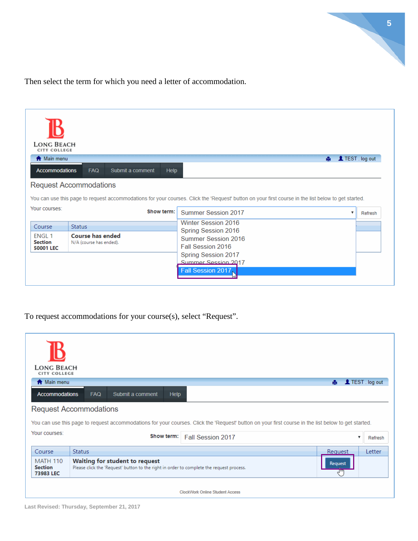

Then select the term for which you need a letter of accommodation.

| <b>LONG BEACH</b><br><b>CITY COLLEGE</b>           |                                                    |            |                                                                                                                                                     |                 |
|----------------------------------------------------|----------------------------------------------------|------------|-----------------------------------------------------------------------------------------------------------------------------------------------------|-----------------|
| <b>A</b> Main menu                                 |                                                    |            | 髙                                                                                                                                                   | LIEST . log out |
| <b>Accommodations</b>                              | Submit a comment<br><b>FAQ</b>                     | Help       |                                                                                                                                                     |                 |
|                                                    | <b>Request Accommodations</b>                      |            |                                                                                                                                                     |                 |
|                                                    |                                                    |            | You can use this page to request accommodations for your courses. Click the 'Request' button on your first course in the list below to get started. |                 |
| Your courses:                                      |                                                    | Show term: | <b>Summer Session 2017</b>                                                                                                                          | Refresh         |
| Course                                             | <b>Status</b>                                      |            | Winter Session 2016                                                                                                                                 |                 |
| <b>FNGL1</b><br><b>Section</b><br><b>50001 LEC</b> | <b>Course has ended</b><br>N/A (course has ended). |            | Spring Session 2016<br>Summer Session 2016<br>Fall Session 2016                                                                                     |                 |
|                                                    |                                                    |            | <b>Spring Session 2017</b><br>Summer Session 2017<br>Fall Session 2017                                                                              |                 |

To request accommodations for your course(s), select "Request".

| <b>LONG BEACH</b><br><b>CITY COLLEGE</b> |                                                                                                                                                     |                |
|------------------------------------------|-----------------------------------------------------------------------------------------------------------------------------------------------------|----------------|
| <b>A</b> Main menu                       | A.                                                                                                                                                  | LIEST. log out |
| <b>Accommodations</b>                    | <b>FAQ</b><br>Submit a comment<br>Help                                                                                                              |                |
|                                          | <b>Request Accommodations</b>                                                                                                                       |                |
|                                          |                                                                                                                                                     |                |
|                                          | You can use this page to request accommodations for your courses. Click the 'Request' button on your first course in the list below to get started. |                |
| Your courses:                            | Show term:<br>Fall Session 2017                                                                                                                     | Refresh        |
| Course                                   | Status<br>Request                                                                                                                                   | <b>Letter</b>  |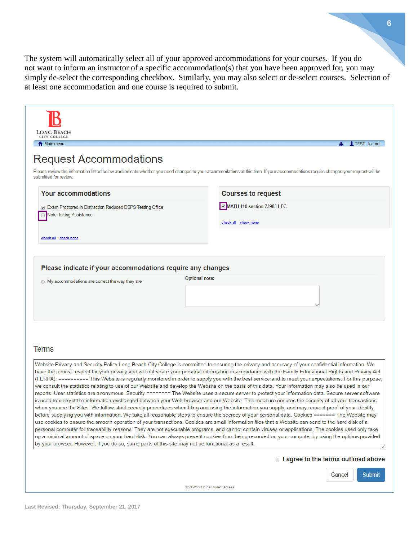The system will automatically select all of your approved accommodations for your courses. If you do not want to inform an instructor of a specific accommodation(s) that you have been approved for, you may simply de-select the corresponding checkbox. Similarly, you may also select or de-select courses. Selection of at least one accommodation and one course is required to submit.

| LONG BEACH<br>CITY COLLEGE<br><b>A</b> Main menu                                                                                                                                                                                                                                                                                                                                                                                                                                                                                                                                                                                                                                                                                                                                                                                                                                                                                                                                                                                                                                                                                                                                                                                                                                                                                                                                                                                                                                                                                                                                                                                                                                                                                                                                                                                |                       |                                                    |        | <b>A</b> IL TEST log out |
|---------------------------------------------------------------------------------------------------------------------------------------------------------------------------------------------------------------------------------------------------------------------------------------------------------------------------------------------------------------------------------------------------------------------------------------------------------------------------------------------------------------------------------------------------------------------------------------------------------------------------------------------------------------------------------------------------------------------------------------------------------------------------------------------------------------------------------------------------------------------------------------------------------------------------------------------------------------------------------------------------------------------------------------------------------------------------------------------------------------------------------------------------------------------------------------------------------------------------------------------------------------------------------------------------------------------------------------------------------------------------------------------------------------------------------------------------------------------------------------------------------------------------------------------------------------------------------------------------------------------------------------------------------------------------------------------------------------------------------------------------------------------------------------------------------------------------------|-----------------------|----------------------------------------------------|--------|--------------------------|
| <b>Request Accommodations</b><br>Please review the information listed below and indicate whether you need changes to your accommodations at this time. If your accommodations require changes your request will be<br>submitted for review.                                                                                                                                                                                                                                                                                                                                                                                                                                                                                                                                                                                                                                                                                                                                                                                                                                                                                                                                                                                                                                                                                                                                                                                                                                                                                                                                                                                                                                                                                                                                                                                     |                       |                                                    |        |                          |
| <b>Your accommodations</b>                                                                                                                                                                                                                                                                                                                                                                                                                                                                                                                                                                                                                                                                                                                                                                                                                                                                                                                                                                                                                                                                                                                                                                                                                                                                                                                                                                                                                                                                                                                                                                                                                                                                                                                                                                                                      |                       | <b>Courses to request</b>                          |        |                          |
| 7 Exam Proctored in Distraction Reduced DSPS Testing Office<br>Note-Taking Assistance<br>$\Box$                                                                                                                                                                                                                                                                                                                                                                                                                                                                                                                                                                                                                                                                                                                                                                                                                                                                                                                                                                                                                                                                                                                                                                                                                                                                                                                                                                                                                                                                                                                                                                                                                                                                                                                                 |                       | MATH 110 section 73983 LEC<br>check all check none |        |                          |
| check all check none                                                                                                                                                                                                                                                                                                                                                                                                                                                                                                                                                                                                                                                                                                                                                                                                                                                                                                                                                                                                                                                                                                                                                                                                                                                                                                                                                                                                                                                                                                                                                                                                                                                                                                                                                                                                            |                       |                                                    |        |                          |
| Please indicate if your accommodations require any changes<br>◯ My accommodations are correct the way they are                                                                                                                                                                                                                                                                                                                                                                                                                                                                                                                                                                                                                                                                                                                                                                                                                                                                                                                                                                                                                                                                                                                                                                                                                                                                                                                                                                                                                                                                                                                                                                                                                                                                                                                  | <b>Optional note:</b> | h                                                  |        |                          |
| <b>Terms</b>                                                                                                                                                                                                                                                                                                                                                                                                                                                                                                                                                                                                                                                                                                                                                                                                                                                                                                                                                                                                                                                                                                                                                                                                                                                                                                                                                                                                                                                                                                                                                                                                                                                                                                                                                                                                                    |                       |                                                    |        |                          |
| Website Privacy and Security Policy:Long Beach City College is committed to ensuring the privacy and accuracy of your confidential information. We<br>have the utmost respect for your privacy and will not share your personal information in accordance with the Family Educational Rights and Privacy Act<br>(FERPA). ========== This Website is regularly monitored in order to supply you with the best service and to meet your expectations. For this purpose,<br>we consult the statistics relating to use of our Website and develop the Website on the basis of this data. Your information may also be used in our<br>reports. User statistics are anonymous. Security ======== The Website uses a secure server to protect your information data. Secure server software<br>is used to encrypt the information exchanged between your Web browser and our Website. This measure ensures the security of all your transactions<br>when you use the Sites. We follow strict security procedures when filing and using the information you supply, and may request proof of your identity<br>before supplying you with information. We take all reasonable steps to ensure the secrecy of your personal data. Cookies ======= The Website may<br>use cookies to ensure the smooth operation of your transactions. Cookies are small information files that a Website can send to the hard disk of a<br>personal computer for traceability reasons. They are not executable programs, and cannot contain viruses or applications. The cookies used only take<br>up a minimal amount of space on your hard disk. You can always prevent cookies from being recorded on your computer by using the options provided<br>by your browser. However, if you do so, some parts of this site may not be functional as a result. |                       |                                                    |        |                          |
|                                                                                                                                                                                                                                                                                                                                                                                                                                                                                                                                                                                                                                                                                                                                                                                                                                                                                                                                                                                                                                                                                                                                                                                                                                                                                                                                                                                                                                                                                                                                                                                                                                                                                                                                                                                                                                 |                       | $\Box$ I agree to the terms outlined above         |        |                          |
|                                                                                                                                                                                                                                                                                                                                                                                                                                                                                                                                                                                                                                                                                                                                                                                                                                                                                                                                                                                                                                                                                                                                                                                                                                                                                                                                                                                                                                                                                                                                                                                                                                                                                                                                                                                                                                 |                       |                                                    | Cancel | Submit                   |

ClockWork Online Student Access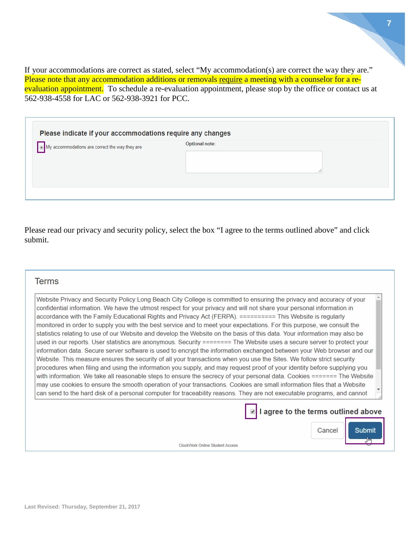If your accommodations are correct as stated, select "My accommodation(s) are correct the way they are." Please note that any accommodation additions or removals require a meeting with a counselor for a reevaluation appointment. To schedule a re-evaluation appointment, please stop by the office or contact us at 562-938-4558 for LAC or 562-938-3921 for PCC.

| Please indicate if your accommodations require any changes |                |  |  |  |  |
|------------------------------------------------------------|----------------|--|--|--|--|
| My accommodations are correct the way they are             | Optional note: |  |  |  |  |
|                                                            |                |  |  |  |  |

Please read our privacy and security policy, select the box "I agree to the terms outlined above" and click submit.

### **Terms**

| Website Privacy and Security Policy:Long Beach City College is committed to ensuring the privacy and accuracy of your     |
|---------------------------------------------------------------------------------------------------------------------------|
| confidential information. We have the utmost respect for your privacy and will not share your personal information in     |
| accordance with the Family Educational Rights and Privacy Act (FERPA). ========= This Website is regularly                |
| monitored in order to supply you with the best service and to meet your expectations. For this purpose, we consult the    |
| statistics relating to use of our Website and develop the Website on the basis of this data. Your information may also be |
| used in our reports. User statistics are anonymous. Security ======== The Website uses a secure server to protect your    |
| information data. Secure server software is used to encrypt the information exchanged between your Web browser and our    |
| Website. This measure ensures the security of all your transactions when you use the Sites. We follow strict security     |
| procedures when filing and using the information you supply, and may request proof of your identity before supplying you  |
| with information. We take all reasonable steps to ensure the secrecy of your personal data. Cookies ======= The Website   |
| may use cookies to ensure the smooth operation of your transactions. Cookies are small information files that a Website   |
| can send to the hard disk of a personal computer for traceability reasons. They are not executable programs, and cannot   |
|                                                                                                                           |
| I agree to the terms outlined above                                                                                       |
|                                                                                                                           |
| Cancel<br>Submit                                                                                                          |
|                                                                                                                           |
| <b>ClockWork Online Student Access</b>                                                                                    |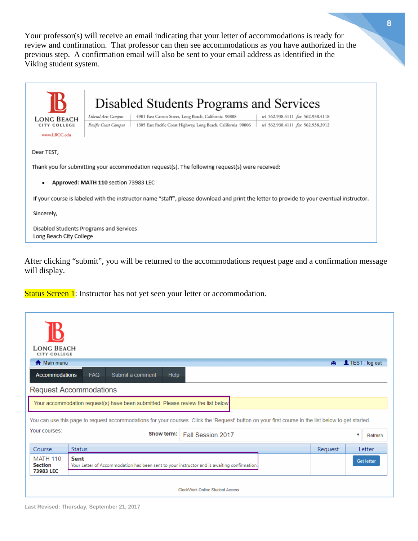Your professor(s) will receive an email indicating that your letter of accommodations is ready for review and confirmation. That professor can then see accommodations as you have authorized in the previous step. A confirmation email will also be sent to your email address as identified in the Viking student system.

|                                                                                                                                          |                      | Disabled Students Programs and Services                       |                                   |  |  |  |
|------------------------------------------------------------------------------------------------------------------------------------------|----------------------|---------------------------------------------------------------|-----------------------------------|--|--|--|
| <b>LONG BEACH</b>                                                                                                                        | Liberal Arts Campus  | 4901 East Carson Street, Long Beach, California 90808         | tel 562.938.4111 fax 562.938.4118 |  |  |  |
| CITY COLLEGE                                                                                                                             | Pacific Coast Campus | 1305 East Pacific Coast Highway, Long Beach, California 90806 | tel 562.938.4111 fax 562.938.3912 |  |  |  |
| www.LBCC.edu                                                                                                                             |                      |                                                               |                                   |  |  |  |
| Dear TEST,<br>Thank you for submitting your accommodation request(s). The following request(s) were received:                            |                      |                                                               |                                   |  |  |  |
| Approved: MATH 110 section 73983 LEC<br>٠                                                                                                |                      |                                                               |                                   |  |  |  |
| If your course is labeled with the instructor name "staff", please download and print the letter to provide to your eventual instructor. |                      |                                                               |                                   |  |  |  |
| Sincerely,                                                                                                                               |                      |                                                               |                                   |  |  |  |
| Disabled Students Programs and Services<br>Long Beach City College                                                                       |                      |                                                               |                                   |  |  |  |

After clicking "submit", you will be returned to the accommodations request page and a confirmation message will display.

Status Screen 1: Instructor has not yet seen your letter or accommodation.

| <b>LONG BEACH</b><br><b>CITY COLLEGE</b>                                                                                                                                          |                                                                                                                                                     |                                 |         |                          |                 |
|-----------------------------------------------------------------------------------------------------------------------------------------------------------------------------------|-----------------------------------------------------------------------------------------------------------------------------------------------------|---------------------------------|---------|--------------------------|-----------------|
| <b>A</b> Main menu                                                                                                                                                                |                                                                                                                                                     |                                 | Р.      |                          | LIEST . log out |
| <b>Accommodations</b>                                                                                                                                                             | <b>FAQ</b><br>Submit a comment<br><b>Help</b>                                                                                                       |                                 |         |                          |                 |
|                                                                                                                                                                                   | <b>Request Accommodations</b>                                                                                                                       |                                 |         |                          |                 |
|                                                                                                                                                                                   | Your accommodation request(s) have been submitted. Please review the list below.                                                                    |                                 |         |                          |                 |
|                                                                                                                                                                                   | You can use this page to request accommodations for your courses. Click the 'Request' button on your first course in the list below to get started. |                                 |         |                          |                 |
| Your courses:                                                                                                                                                                     | Show term:                                                                                                                                          | Fall Session 2017               |         | $\overline{\phantom{a}}$ | Refresh         |
| Course                                                                                                                                                                            | <b>Status</b>                                                                                                                                       |                                 | Request |                          | Letter          |
| <b>MATH 110</b><br><b>Sent</b><br><b>Get letter</b><br><b>Section</b><br>Your Letter of Accommodation has been sent to your instructor and is awaiting confirmation.<br>73983 LEC |                                                                                                                                                     |                                 |         |                          |                 |
|                                                                                                                                                                                   |                                                                                                                                                     | ClockWork Online Student Access |         |                          |                 |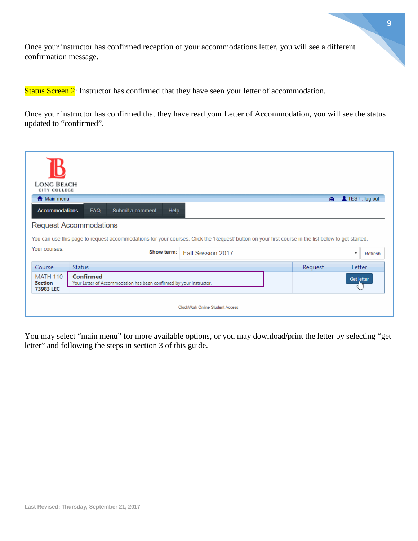Once your instructor has confirmed reception of your accommodations letter, you will see a different confirmation message.

Status Screen 2: Instructor has confirmed that they have seen your letter of accommodation.

Once your instructor has confirmed that they have read your Letter of Accommodation, you will see the status updated to "confirmed".

| <b>LONG BEACH</b><br><b>CITY COLLEGE</b> |                                                                                                                                                     |         |                                      |
|------------------------------------------|-----------------------------------------------------------------------------------------------------------------------------------------------------|---------|--------------------------------------|
| <b>A</b> Main menu                       |                                                                                                                                                     | A.      | TEST . log out                       |
| <b>Accommodations</b>                    | Submit a comment<br><b>FAQ</b><br>Help                                                                                                              |         |                                      |
|                                          | <b>Request Accommodations</b>                                                                                                                       |         |                                      |
|                                          | You can use this page to request accommodations for your courses. Click the 'Request' button on your first course in the list below to get started. |         |                                      |
| Your courses:                            | Show term:<br>Fall Session 2017                                                                                                                     |         | $\boldsymbol{\mathrm{v}}$<br>Refresh |
| Course                                   | <b>Status</b>                                                                                                                                       | Request | Letter                               |
| <b>MATH 110</b><br><b>Section</b>        | <b>Confirmed</b><br>Your Letter of Accommodation has been confirmed by your instructor.                                                             |         | Get letter                           |
| 73983 LEC                                |                                                                                                                                                     |         |                                      |
|                                          | ClockWork Online Student Access                                                                                                                     |         |                                      |

You may select "main menu" for more available options, or you may download/print the letter by selecting "get letter" and following the steps in section 3 of this guide.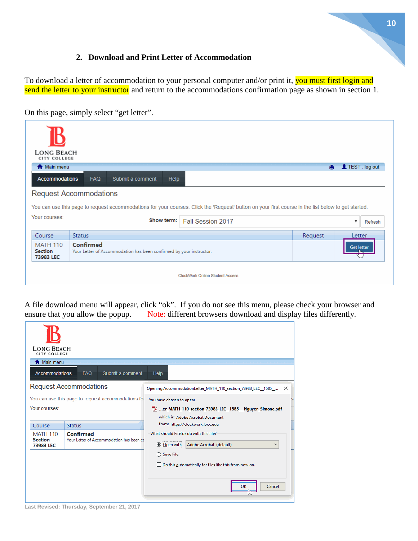## **2. Download and Print Letter of Accommodation**

<span id="page-9-0"></span>To download a letter of accommodation to your personal computer and/or print it, you must first login and send the letter to your instructor and return to the accommodations confirmation page as shown in section 1.

On this page, simply select "get letter".

| <b>LONG BEACH</b><br><b>CITY COLLEGE</b>                                                                                                            |                                                                                  |         |                   |  |  |
|-----------------------------------------------------------------------------------------------------------------------------------------------------|----------------------------------------------------------------------------------|---------|-------------------|--|--|
| <b>A</b> Main menu                                                                                                                                  |                                                                                  | A.      | L TEST . log out  |  |  |
| <b>Accommodations</b>                                                                                                                               | <b>FAQ</b><br>Submit a comment<br>Help                                           |         |                   |  |  |
|                                                                                                                                                     | <b>Request Accommodations</b>                                                    |         |                   |  |  |
| You can use this page to request accommodations for your courses. Click the 'Request' button on your first course in the list below to get started. |                                                                                  |         |                   |  |  |
| Your courses:                                                                                                                                       | Show term:<br>Fall Session 2017                                                  |         | v<br>Refresh      |  |  |
| Course                                                                                                                                              | <b>Status</b>                                                                    | Request | Letter            |  |  |
| <b>MATH 110</b><br><b>Section</b><br>73983 LEC                                                                                                      | Confirmed<br>Your Letter of Accommodation has been confirmed by your instructor. |         | <b>Get letter</b> |  |  |
|                                                                                                                                                     | <b>ClockWork Online Student Access</b>                                           |         |                   |  |  |

A file download menu will appear, click "ok". If you do not see this menu, please check your browser and ensure that you allow the popup. Note: different browsers download and display files differently. Note: different browsers download and display files differently.

| <b>LONG BEACH</b><br><b>CITY COLLEGE</b>                                |               |                  |                                                                           |  |  |
|-------------------------------------------------------------------------|---------------|------------------|---------------------------------------------------------------------------|--|--|
| <b>A</b> Main menu                                                      |               |                  |                                                                           |  |  |
| <b>Accommodations</b>                                                   | <b>FAQ</b>    | Submit a comment | <b>Help</b>                                                               |  |  |
| <b>Request Accommodations</b>                                           |               |                  | Opening AccommodationLetter_MATH_110_section_73983_LEC__1585_<br>$\times$ |  |  |
| You can use this page to request accommodations fo                      |               |                  | You have chosen to open:                                                  |  |  |
| Your courses:                                                           |               |                  | TA er MATH 110 section 73983 LEC 1585 Nguyen Simone.pdf                   |  |  |
|                                                                         |               |                  | which is: Adobe Acrobat Document                                          |  |  |
| Course                                                                  | <b>Status</b> |                  | from: https://clockwork.lbcc.edu                                          |  |  |
| <b>MATH 110</b>                                                         | Confirmed     |                  | What should Firefox do with this file?                                    |  |  |
| <b>Section</b><br>Your Letter of Accommodation has been co<br>73983 LEC |               |                  | O Open with<br>Adobe Acrobat (default)                                    |  |  |
|                                                                         |               |                  | ◯ Save File                                                               |  |  |
|                                                                         |               |                  | Do this automatically for files like this from now on.                    |  |  |
|                                                                         |               |                  |                                                                           |  |  |
|                                                                         |               |                  | OK<br>Cancel<br>5N                                                        |  |  |

**Last Revised: Thursday, September 21, 2017**